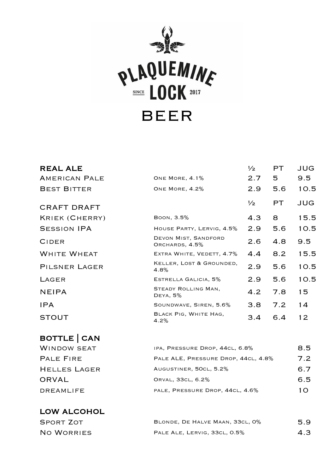

| <b>REAL ALE</b>    |                                        | $\frac{1}{2}$ | PT. | JUG           |
|--------------------|----------------------------------------|---------------|-----|---------------|
| AMERICAN PALE      | ONE MORE, 4.1%                         | 2.7           | 5.  | 9.5           |
| <b>BEST BITTER</b> | ONE MORE, 4.2%                         | 2.9           | 5.6 | 10.5          |
| CRAFT DRAFT        |                                        | $\frac{1}{2}$ | PT. | JUG           |
| KRIEK (CHERRY)     | BOON, 3.5%                             | 4.3           | 8   | 15.5          |
| <b>SESSION IPA</b> | HOUSE PARTY, LERVIG, 4.5%              | 2.9           | 5.6 | 10.5          |
| CIDER              | DEVON MIST, SANDFORD<br>ORCHARDS, 4.5% | 2.6           | 4.8 | $9.5^{\circ}$ |
| <b>WHITE WHEAT</b> | EXTRA WHITE, VEDETT, 4.7%              | 4.4           | 8.2 | 15.5          |
| PILSNER LAGER      | KELLER, LOST & GROUNDED,<br>4.8%       | 2.9           | 5.6 | 10.5          |
| LAGER              | ESTRELLA GALICIA, 5%                   | 2.9           | 5.6 | 10.5          |
| <b>NEIPA</b>       | STEADY ROLLING MAN,<br>DEYA, 5%        | 4.2           | 7.8 | 15            |
| IPA                | SOUNDWAVE, SIREN, 5.6%                 | 3.8           | 7.2 | 14            |
| <b>STOUT</b>       | BLACK PIG, WHITE HAG,<br>4.2%          | 3.4           | 6.4 | 12            |

#### BOTTLE | CAN

| <b>WINDOW SEAT</b>  | IPA, PRESSURE DROP, 44CL, 6.8%      | 8.5 |
|---------------------|-------------------------------------|-----|
| <b>PALE FIRE</b>    | PALE ALE, PRESSURE DROP, 44CL, 4.8% | 7.2 |
| <b>HELLES LAGER</b> | AUGUSTINER, 50CL, 5.2%              | 6.7 |
| ORVAL               | ORVAL, 33CL, 6.2%                   | 6.5 |
| DREAMLIFE           | PALE, PRESSURE DROP, 44CL, 4.6%     | 10. |
|                     |                                     |     |

#### LOW ALCOHOL

| SPORT ZOT  | BLONDE, DE HALVE MAAN, 33CL, 0% | 5.9 |
|------------|---------------------------------|-----|
| NO WORRIES | PALE ALE, LERVIG, 33CL, 0.5%    | 4.3 |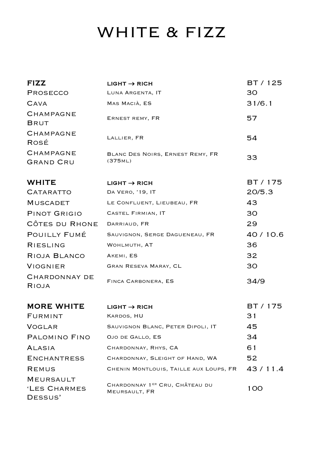# WHITE & FIZZ

| <b>FIZZ</b>                                 | $LIGHT \rightarrow RICH$                        | BT / 125 |
|---------------------------------------------|-------------------------------------------------|----------|
| PROSECCO                                    | LUNA ARGENTA, IT                                | 30       |
| <b>CAVA</b>                                 | MAS MACIÀ, ES                                   | 31/6.1   |
| CHAMPAGNE<br>BRUT                           | ERNEST REMY, FR                                 | 57       |
| CHAMPAGNE<br>ROSÉ                           | LALLIER, FR                                     | 54       |
| <b>CHAMPAGNE</b><br>GRAND CRU               | BLANC DES NOIRS, ERNEST REMY, FR<br>(375ML)     | 33       |
| <b>WHITE</b>                                | $LIGHT \rightarrow RICH$                        | BT / 175 |
| CATARATTO                                   | DA VERO, '19, IT                                | 20/5.3   |
| MUSCADET                                    | LE CONFLUENT, LIEUBEAU, FR                      | 43       |
| PINOT GRIGIO                                | CASTEL FIRMIAN, IT                              | 30       |
| CÔTES DU RHONE                              | DARRIAUD, FR                                    | 29       |
| POUILLY FUMÉ                                | SAUVIGNON, SERGE DAGUENEAU, FR                  | 40/10.6  |
| RIESLING                                    | WOHLMUTH, AT                                    | 36       |
| RIOJA BLANCO                                | AKEMI, ES                                       | 32       |
| VIOGNIER                                    | GRAN RESEVA MARAY, CL                           | 30       |
| CHARDONNAY DE<br>RIOJA                      | FINCA CARBONERA, ES                             | 34/9     |
| <b>MORE WHITE</b>                           | $LIGHT \rightarrow RICH$                        | BT / 175 |
| FURMINT                                     | KARDOS, HU                                      | 31       |
| <b>VOGLAR</b>                               | SAUVIGNON BLANC, PETER DIPOLI, IT               | 45       |
| PALOMINO FINO                               | OJO DE GALLO, ES                                | 34       |
| ALASIA                                      | CHARDONNAY, RHYS, CA                            | 61       |
| <b>ENCHANTRESS</b>                          | CHARDONNAY, SLEIGHT OF HAND, WA                 | 52       |
| REMUS                                       | CHENIN MONTLOUIS, TAILLE AUX LOUPS, FR          | 43/11.4  |
| <b>MEURSAULT</b><br>'LES CHARMES<br>DESSUS' | CHARDONNAY 1ER CRU, CHÂTEAU DU<br>MEURSAULT, FR | 100      |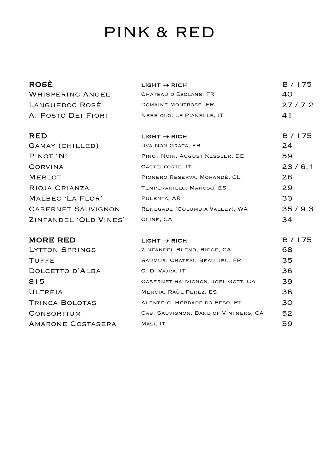### PINK & RED

| <b>ROSÈ</b>               | $LIGHT \rightarrow RICH$       | B / 175 |
|---------------------------|--------------------------------|---------|
| <b>WHISPERING ANGEL</b>   | CHATEAU D'ESCLANS, FR          | 40      |
| LANGUEDOC ROSÉ            | DOMAINE MONTROSE, FR           | 27/7.2  |
| AI POSTO DEI FIORI        | NEBBIOLO, LE PIANELLE, IT      | 41      |
|                           |                                |         |
| <b>RED</b>                | $LIGHT \rightarrow RICH$       | B / 175 |
| GAMAY (CHILLED)           | UVA NON GRATA, FR              | 24      |
| PINOT 'N'                 | PINOT NOIR, AUGUST KESSLER, DE | 59      |
| CORVINA                   | CASTELFORTE, IT                | 23/6.1  |
| <b>MERLOT</b>             | PIONERO RESERVA, MORANDÉ, CL   | 26.     |
| RIOJA CRIANZA             | TEMPERANILLO, MANOSO, ES       | 29      |
| MALBEC 'LA FLOR'          | PULENTA, AR                    | 33      |
| <b>CABERNET SAUVIGNON</b> | RENEGADE (COLUMBIA VALLEY), WA | 35/9.3  |
| ZINFANDEL 'OLD VINES'     | CLINE, CA                      | 34      |
|                           |                                |         |

**MORE RED** LYTTON SPRINGS

| MORE RED          | $LIGHT \rightarrow RICH$             | B / 175 |
|-------------------|--------------------------------------|---------|
| LYTTON SPRINGS    | ZINFANDEL BLEND, RIDGE, CA           | 68      |
| TUFFE             | SAUMUR, CHATEAU BEAULIEU, FR         | 35      |
| DOLCETTO D'ALBA   | G. D. VAJRA, IT                      | 36      |
| 815               | CABERNET SAUVIGNON, JOEL GOTT, CA    | 39      |
| ULTREIA           | MENCIA, RAÙL PERÉZ, ES               | 36      |
| TRINCA BOLOTAS    | ALENTEJO, HERDADE DO PESO, PT        | 30      |
| CONSORTIUM        | CAB. SAUVIGNON, BAND OF VINTNERS, CA | 52      |
| AMARONE COSTASERA | MASI, IT                             | 59      |